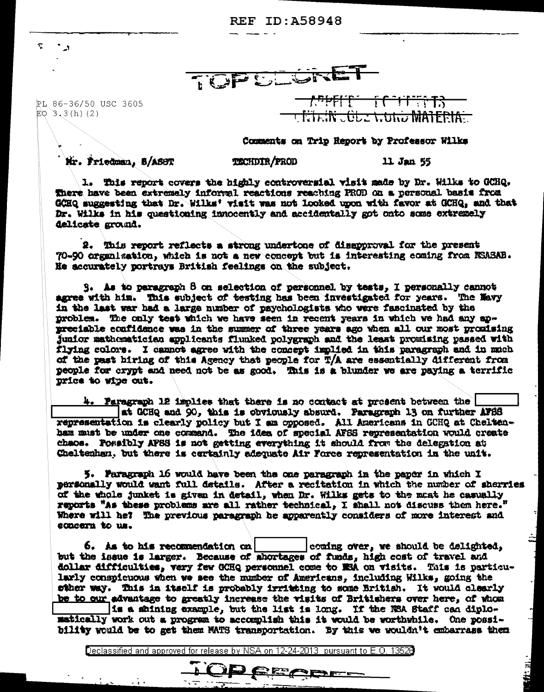**REF ID: A58948** 

TOPULORE

PL 86-36/50 USC 3605  $EO$  3.3(h)(2)

 $\mathbb{Z}$ 

۰,



## Comments on Trip Report by Professor Wilks

Mr. Friedman, S/ASST

**TECHDIR/PROD** 

11 Jan 55

Little in 11.

1. This report covers the highly controversial visit made by Dr. Wilks to GCHQ. There have been extremely informal reactions reaching PROD on a personal basis from GCHQ suggesting that Dr. Wilks' visit was not looked upon with favor at GCHQ. and that Dr. Wilks in his questioning innocently and accidentally got onto some extremely delicate ground.

2. This report reflects a strong undertone of disapproval for the present 70-90 organization, which is not a new concept but is interesting coming from NSASAB. He accurately portrays British feelings on the subject,

 $S<sub>1</sub>$  As to paragraph 8 on selection of personnel by tests, I personally cannot agree with him. This subject of testing has been investigated for years. The Mayy in the last war had a large number of psychologists who were fascinated by the problem. The only test which we have seen in recent years in which we had any anpreciable confidence was in the summer of three years ago when all our most promising junior mathematician applicants flunked polygraph and the least promising passed with flying colors. I cannot agree with the concept implied in this paragraph and in much of the past hiring of this Agency that people for T/A are essentially different from people for crypt and need not be as good. This is a blunder we are paying a terrific price to wipe out.

4. Paragraph 12 implies that there is no contact at present between the at GCHQ and 90, this is obviously absurd. Paragraph 13 on further AFBS representation is clearly policy but I am opposed. All Americans in GCHQ at Cheltenham must be under one command. The idea of special AFSS representation would create chaos. Possibly AFSS is not getting everything it should from the delegation at Cheltenham, but there is certainly adequate Air Force representation in the unit.

5. Paragraph 16 would have been the one paragraph in the paper in which I personally would want full details. After a recitation in which the number of sherries of the whole junket is given in detail, when Dr. Wilks gets to the maat he casually reports "As these problems are all rather technical, I shall not discuss them here." Where will he? The previous paragraph he apparently considers of more interest and concern to us.

 $6.$  As to his recommendation  $cn$ coming over, we should be delighted, but the issue is larger. Because of shortages of funds, high cost of travel and dollar difficulties, very few GCHQ personnel come to ESA on visits. This is particularly conspicuous when we see the number of Americans, including Wilks, going the other way. This in itself is probably irritaing to some British. It would clearly be to our advantage to greatly increase the visits of Britishers over here, of whom is a shining example, but the list is long. If the WEA Staff can diplomatically work out a program to accomplish this it would be worthwhile. One possibility would be to get them MATS transportation. By this we wouldn't embarrass them

Declassified and approved for release by NSA on 12-24-2013 pursuant to E.O. 13528

TOP PECEL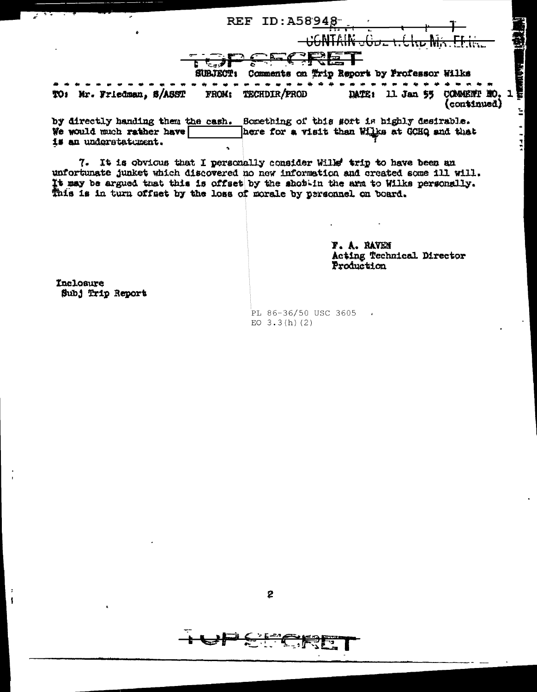| . – <del>. .</del>          | REF ID: A58948               |                                               |
|-----------------------------|------------------------------|-----------------------------------------------|
|                             | AC NITE IN .                 |                                               |
|                             | <b>SUBJECT!</b>              | Comments on Trip Report by Professor Wilks    |
| Mr. Friedman, S/ASST<br>TO: | <b>TECHDIR/PROD</b><br>FROM: | 11 Jan 55 COMMENT NO.<br>DATE:<br>(continued) |
|                             |                              |                                               |

here for a visit than Wilks at GCHQ and that We would much rather have is an understatument.

7. It is obvious that I personally consider Wills' trip to have been an unfortunate junket which discovered no new information and created some ill will. It may be argued that this is offset by the shottin the arm to Wilks personally. This is in turn offset by the loss of morale by personnel on board.

> **F. A. RAVEN** Acting Technical. Director Production

Inclosure Subj Trip Report

 $\ddot{\phantom{a}}$ 

 $\mathbf{I}$ 

PL 86-36/50 USC 3605 EO  $3.3(h)$  (2)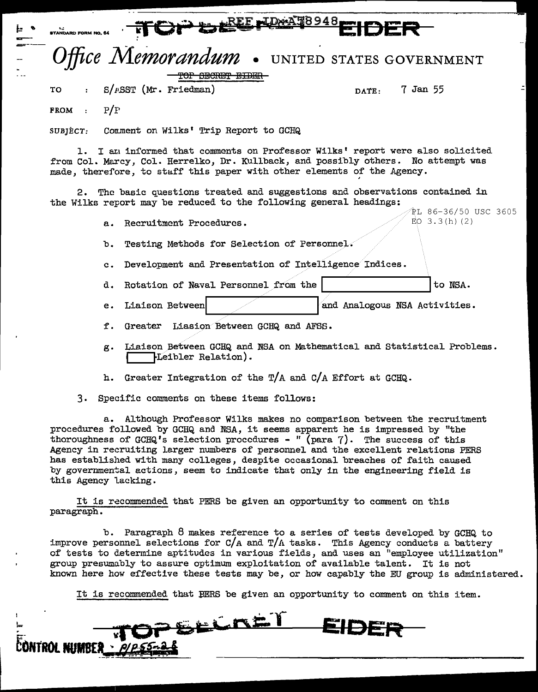| 2 E REE ID A 58948<br><b>STANDARD FORM NO. 64</b>                                                                                                                                                                                                                                                                                                                                                   |                                         |
|-----------------------------------------------------------------------------------------------------------------------------------------------------------------------------------------------------------------------------------------------------------------------------------------------------------------------------------------------------------------------------------------------------|-----------------------------------------|
| Office Memorandum . UNITED STATES GOVERNMENT                                                                                                                                                                                                                                                                                                                                                        |                                         |
| <del>TOP SECRET EIDE</del>                                                                                                                                                                                                                                                                                                                                                                          |                                         |
| $S/FSST$ (Mr. Friedman)<br>TO                                                                                                                                                                                                                                                                                                                                                                       | 7 Jan 55<br>DATE:                       |
| FROM : $P/F$                                                                                                                                                                                                                                                                                                                                                                                        |                                         |
| Comment on Wilks' Trip Report to GCHQ<br>SUBJECT.                                                                                                                                                                                                                                                                                                                                                   |                                         |
| 1. I am informed that comments on Professor Wilks' report were also solicited<br>from Col. Marcy, Col. Herrelko, Dr. Kullback, and possibly others. No attempt was<br>made, therefore, to staff this paper with other elements of the Agency.<br>2. The basic questions treated and suggestions and observations contained in<br>the Wilks report may be reduced to the following general headings: |                                         |
| a. Recruitment Procedures.                                                                                                                                                                                                                                                                                                                                                                          | °PL 86-36/50 USC 3605<br>EO $3.3(h)(2)$ |
| Testing Methods for Selection of Personnel.<br>ъ.                                                                                                                                                                                                                                                                                                                                                   |                                         |
| Development and Presentation of Intelligence Indices.<br>c.                                                                                                                                                                                                                                                                                                                                         |                                         |
| d. Rotation of Naval Personnel from the                                                                                                                                                                                                                                                                                                                                                             | to NSA.                                 |
| Liaison Between<br>e.                                                                                                                                                                                                                                                                                                                                                                               | and Analogous NSA Activities.           |

- f. Greater Lias ion Between GCHQ and AFSS.
- g. Liaison Between GCHQ and NSA on Mathematical and Statistical Problems.  $\textcolor{red}{\textbf{F}}$  .  $\textcolor{red}{\textbf{E}}$
- h. Greater Integration of the T/A and C/A Effort at GCHQ.
- 3. Specific comments on these items follows:

a. Although Professor Wilks makes no comparison between the recruitment procedures followed by GCHQ and NSA, it seems apparent he is impressed by "the thoroughness of GCHQ's selection procedures - " (para 7). The success of this Agency in recruiting larger numbers of personnel and the excellent relations PERS has established with many colleges, despite occasional breaches of faith caused by governmental actions, seem to indicate that only in the engineering field is this Agency lacking.

It is recommended that PERS be given an opportunity to comment on this paragraph.

b. Paragraph 8 makes reference to a series of tests developed by GCHQ to improve personnel selections for  $C/A$  and  $T/A$  tasks. This Agency conducts a battery of tests to determine aptitudes in various fields, and uses an "employee utilization" group presumably to assure optimum exploitation of available talent. It is not known here how effective these tests may be, or how capably the EU group is administered.

It is recommended that BERS be given an opportunity to comment on this item.

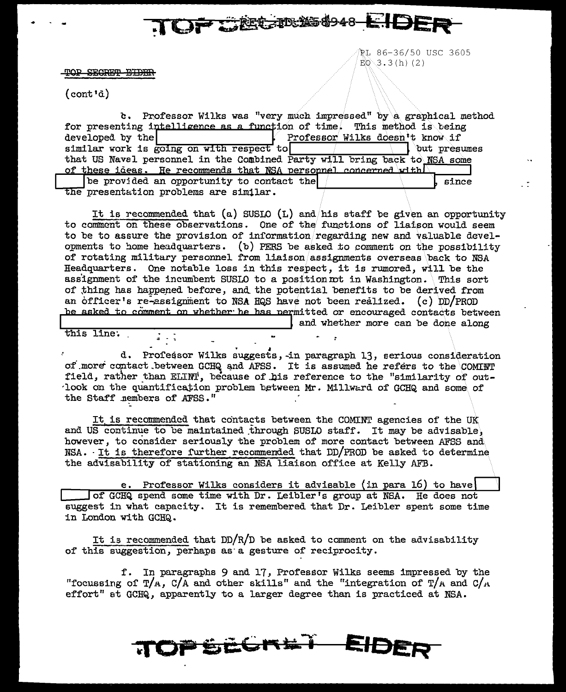TOP SECRET EIDER

ri 86-36/50 USC 3605  $E_0$  3.3(h)(2)

 $(cont \dagger \tilde{a})$ 

c. Professor Wilks was "very much impressed" by a graphical method for presenting intelligence as a function of time. This method is being developed by the Professor Wilks doesn't know if similar work is going on with respect to but presumes that US Naval personnel in the Combined Party will bring back to NSA some of these ideas. He recommends that NSA personnel concerned with  $\Box$  be provided an opportunity to contact the since the presentation problems are similar.

F GEGIDS 48 EIDER

It is recommended that (a) SUSIO (L) and his staff be given an opportunity to comment on these observations. One of the functions of liaison would seem to be to assure the provision of information/regarding new and valuable developments to home headquarters. (b) PERS be asked to comment on the possibility of rotating military personnel from liaison assignments overseas back to NSA Headquarters. One notable loss in this respect, it is rumored, will be the assignment of the incumbent SUSIO to a position not in Washington. This sort of thing has happened before, and the potential benefits to be derived from an officer's re-assignment to NSA HQS have not been realized. (c) DD/PROD be asked to comment on whether he has permitted or encouraged contacts between and whether more can be done along

this line.

d. Professor Wilks suggests, in paragraph 13, serious consideration of more contact between GCHQ and AFSS. It is assumed he refers to the COMINT field, rather than ELINI, because of his reference to the "similarity of outlook on the quantification problem between Mr. Millward of GCHQ and some of the Staff nembers of AFSS."

It is recommended that contacts between the COMINT agencies of the UK and US continue to be maintained through SUSLO staff. It may be advisable, however, to consider seriously the problem of more contact between AFSS and NSA. It is therefore further recommended that DD/PROD be asked to determine the advisability of stationing an NSA liaison office at Kelly AFB.

e. Professor Wilks considers it advisable (in para 16) to have of GCHQ spend some time with Dr. Leibler's group at NSA. He does not suggest in what capacity. It is remembered that Dr. Leibler spent some time in London with GCHQ.

It is recommended that  $DD/R/D$  be asked to comment on the advisability of this suggestion, perhaps as a gesture of reciprocity.

f. In paragraphs 9 and 17, Professor Wilks seems impressed by the "focussing of T/A, C/A and other skills" and the "integration of T/A and C/A effort" at GCHQ, apparently to a larger degree than is practiced at NSA.